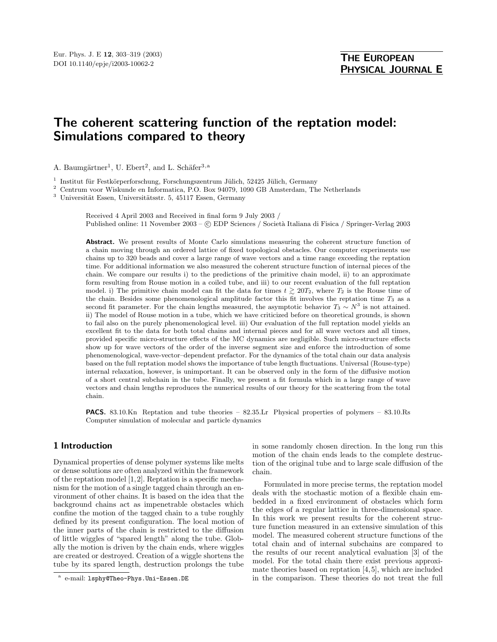# The coherent scattering function of the reptation model: Simulations compared to theory

A. Baumgärtner<sup>1</sup>, U. Ebert<sup>2</sup>, and L. Schäfer<sup>3, a</sup>

 $1$  Institut für Festkörperforschung, Forschungszentrum Jülich, 52425 Jülich, Germany

<sup>2</sup> Centrum voor Wiskunde en Informatica, P.O. Box 94079, 1090 GB Amsterdam, The Netherlands

 $3$  Universität Essen, Universitätsstr. 5, 45117 Essen, Germany

Received 4 April 2003 and Received in final form 9 July 2003 / Published online: 11 November 2003 – © EDP Sciences / Società Italiana di Fisica / Springer-Verlag 2003

Abstract. We present results of Monte Carlo simulations measuring the coherent structure function of a chain moving through an ordered lattice of fixed topological obstacles. Our computer experiments use chains up to 320 beads and cover a large range of wave vectors and a time range exceeding the reptation time. For additional information we also measured the coherent structure function of internal pieces of the chain. We compare our results i) to the predictions of the primitive chain model, ii) to an approximate form resulting from Rouse motion in a coiled tube, and iii) to our recent evaluation of the full reptation model. i) The primitive chain model can fit the data for times  $t \geq 20T_2$ , where  $T_2$  is the Rouse time of the chain. Besides some phenomenological amplitude factor this fit involves the reptation time  $T_3$  as a second fit parameter. For the chain lengths measured, the asymptotic behavior  $T_3 \sim N^3$  is not attained. ii) The model of Rouse motion in a tube, which we have criticized before on theoretical grounds, is shown to fail also on the purely phenomenological level. iii) Our evaluation of the full reptation model yields an excellent fit to the data for both total chains and internal pieces and for all wave vectors and all times, provided specific micro-structure effects of the MC dynamics are negligible. Such micro-structure effects show up for wave vectors of the order of the inverse segment size and enforce the introduction of some phenomenological, wave-vector–dependent prefactor. For the dynamics of the total chain our data analysis based on the full reptation model shows the importance of tube length fluctuations. Universal (Rouse-type) internal relaxation, however, is unimportant. It can be observed only in the form of the diffusive motion ofa short central subchain in the tube. Finally, we present a fit formula which in a large range ofwave vectors and chain lengths reproduces the numerical results of our theory for the scattering from the total chain.

**PACS.** 83.10.Kn Reptation and tube theories –  $82.35 \text{Lr}$  Physical properties of polymers –  $83.10 \text{Rs}$ Computer simulation of molecular and particle dynamics

# 1 Introduction

Dynamical properties of dense polymer systems like melts or dense solutions are often analyzed within the framework of the reptation model [1,2]. Reptation is a specific mechanism for the motion of a single tagged chain through an environment of other chains. It is based on the idea that the background chains act as impenetrable obstacles which confine the motion of the tagged chain to a tube roughly defined by its present configuration. The local motion of the inner parts of the chain is restricted to the diffusion of little wiggles of "spared length" along the tube. Globally the motion is driven by the chain ends, where wiggles are created or destroyed. Creation of a wiggle shortens the tube by its spared length, destruction prolongs the tube in some randomly chosen direction. In the long run this motion of the chain ends leads to the complete destruction of the original tube and to large scale diffusion of the chain.

Formulated in more precise terms, the reptation model deals with the stochastic motion of a flexible chain embedded in a fixed environment of obstacles which form the edges of a regular lattice in three-dimensional space. In this work we present results for the coherent structure function measured in an extensive simulation of this model. The measured coherent structure functions of the total chain and of internal subchains are compared to the results of our recent analytical evaluation [3] of the model. For the total chain there exist previous approximate theories based on reptation [4,5], which are included in the comparison. These theories do not treat the full

a e-mail: lsphy@Theo-Phys.Uni-Essen.DE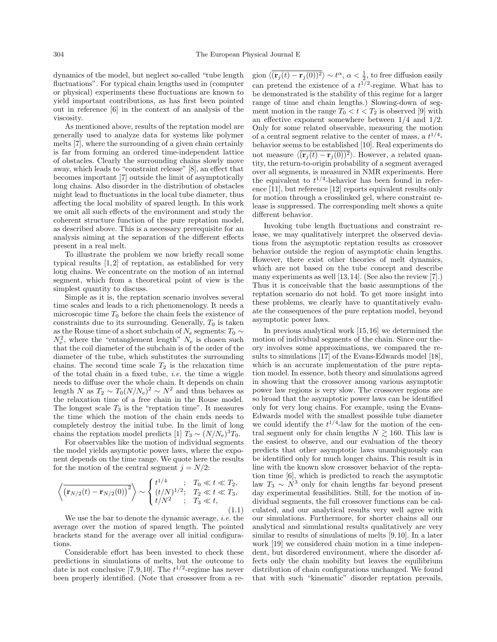dynamics of the model, but neglect so-called "tube length fluctuations". For typical chain lengths used in (computer or physical) experiments these fluctuations are known to yield important contributions, as has first been pointed out in reference [6] in the context of an analysis of the viscosity.

As mentioned above, results of the reptation model are generally used to analyze data for systems like polymer melts [7], where the surrounding of a given chain certainly is far from forming an ordered time-independent lattice of obstacles. Clearly the surrounding chains slowly move away, which leads to "constraint release" [8], an effect that becomes important [7] outside the limit of asymptotically long chains. Also disorder in the distribution of obstacles might lead to fluctuations in the local tube diameter, thus affecting the local mobility of spared length. In this work we omit all such effects of the environment and study the coherent structure function of the pure reptation model, as described above. This is a necessary prerequisite for an analysis aiming at the separation of the different effects present in a real melt.

To illustrate the problem we now briefly recall some typical results [1,2] of reptation, as established for very long chains. We concentrate on the motion of an internal segment, which from a theoretical point of view is the simplest quantity to discuss.

Simple as it is, the reptation scenario involves several time scales and leads to a rich phenomenology. It needs a microscopic time  $T_0$  before the chain feels the existence of constraints due to its surrounding. Generally,  $T_0$  is taken as the Rouse time of a short subchain of  $N_e$  segments:  $T_0 \sim$  $N_e^2$ , where the "entanglement length"  $N_e$  is chosen such that the coil diameter of the subchain is of the order of the diameter of the tube, which substitutes the surrounding chains. The second time scale  $T_2$  is the relaxation time of the total chain in a fixed tube, *i.e.* the time a wiggle needs to diffuse over the whole chain. It depends on chain length N as  $T_2 \sim T_0 (N/N_e)^2 \sim N^2$  and thus behaves as the relaxation time of a free chain in the Rouse model. The longest scale  $T_3$  is the "reptation time". It measures the time which the motion of the chain ends needs to completely destroy the initial tube. In the limit of long chains the reptation model predicts [1]  $T_3 \sim (N/N_e)^3 T_0$ .

For observables like the motion of individual segments the model yields asymptotic power laws, where the exponent depends on the time range. We quote here the results for the motion of the central segment  $j = N/2$ :

$$
\left\langle \overline{\left(\mathbf{r}_{N/2}(t) - \mathbf{r}_{N/2}(0)\right)^2} \right\rangle \sim \begin{cases} t^{1/4} & ; T_0 \ll t \ll T_2, \\ (t/N)^{1/2}; & T_2 \ll t \ll T_3, \\ t/N^2 & ; T_3 \ll t, \end{cases}
$$
\n(1.1)

We use the bar to denote the dynamic average, i.e. the average over the motion of spared length. The pointed brackets stand for the average over all initial configurations.

Considerable effort has been invested to check these predictions in simulations of melts, but the outcome to date is not conclusive [7,9,10]. The  $t^{1/2}$ -regime has never been properly identified. (Note that crossover from a re-

gion  $\langle (\mathbf{r}_j(t) - \mathbf{r}_j(0))^2 \rangle \sim t^{\alpha}, \alpha < \frac{1}{2}$ , to free diffusion easily can pretend the existence of a  $t^{1/2}$ -regime. What has to be demonstrated is the stability of this regime for a larger range of time and chain lengths.) Slowing-down of segment motion in the range  $T_0 < t < T_2$  is observed [9] with an effective exponent somewhere between 1/4 and 1/2. Only for some related observable, measuring the motion of a central segment relative to the center of mass, a  $t^{1/4}$ behavior seems to be established [10]. Real experiments do not measure  $\langle (\mathbf{r}_i(t) - \mathbf{r}_i(0))^2 \rangle$ . However, a related quantity, the return-to-origin probability of a segment averaged over all segments, is measured in NMR experiments. Here the equivalent to  $t^{1/4}$ -behavior has been found in reference [11], but reference [12] reports equivalent results only for motion through a crosslinked gel, where constraint release is suppressed. The corresponding melt shows a quite different behavior.

Invoking tube length fluctuations and constraint release, we may qualitatively interpret the observed deviations from the asymptotic reptation results as crossover behavior outside the region of asymptotic chain lengths. However, there exist other theories of melt dynamics, which are not based on the tube concept and describe many experiments as well [13,14]. (See also the review [7].) Thus it is conceivable that the basic assumptions of the reptation scenario do not hold. To get more insight into these problems, we clearly have to quantitatively evaluate the consequences of the pure reptation model, beyond asymptotic power laws.

In previous analytical work [15,16] we determined the motion of individual segments of the chain. Since our theory involves some approximations, we compared the results to simulations [17] of the Evans-Edwards model [18], which is an accurate implementation of the pure reptation model. In essence, both theory and simulations agreed in showing that the crossover among various asymptotic power law regions is very slow. The crossover regions are so broad that the asymptotic power laws can be identified only for very long chains. For example, using the Evans-Edwards model with the smallest possible tube diameter we could identify the  $t^{1/4}$ -law for the motion of the central segment only for chain lengths  $N \ge 160$ . This law is the easiest to observe, and our evaluation of the theory predicts that other asymptotic laws unambiguously can be identified only for much longer chains. This result is in line with the known slow crossover behavior of the reptation time [6], which is predicted to reach the asymptotic law  $T_3 \sim N^3$  only for chain lengths far beyond present day experimental feasibilities. Still, for the motion of individual segments, the full crossover functions can be calculated, and our analytical results very well agree with our simulations. Furthermore, for shorter chains all our analytical and simulational results qualitatively are very similar to results of simulations of melts [9,10]. In a later work [19] we considered chain motion in a time independent, but disordered environment, where the disorder affects only the chain mobility but leaves the equilibrium distribution of chain configurations unchanged. We found that with such "kinematic" disorder reptation prevails,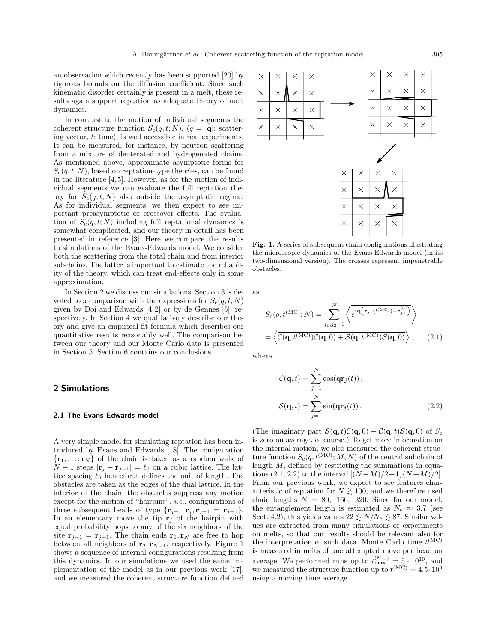an observation which recently has been supported [20] by rigorous bounds on the diffusion coefficient. Since such kinematic disorder certainly is present in a melt, these results again support reptation as adequate theory of melt dynamics.

In contrast to the motion of individual segments the coherent structure function  $S_c(q,t;N)$ ,  $(q = |\mathbf{q}|:$  scattering vector, t: time), is well accessible in real experiments. It can be measured, for instance, by neutron scattering from a mixture of deuterated and hydrogenated chains. As mentioned above, approximate asymptotic forms for  $S_c(q,t;N)$ , based on reptation-type theories, can be found in the literature [4,5]. However, as for the motion of individual segments we can evaluate the full reptation theory for  $S_c(q,t;N)$  also outside the asymptotic regime. As for individual segments, we then expect to see important preasymptotic or crossover effects. The evaluation of  $S_c(q,t;N)$  including full reptational dynamics is somewhat complicated, and our theory in detail has been presented in reference [3]. Here we compare the results to simulations of the Evans-Edwards model. We consider both the scattering from the total chain and from interior subchains. The latter is important to estimate the reliability of the theory, which can treat end-effects only in some approximation.

In Section 2 we discuss our simulations. Section 3 is devoted to a comparison with the expressions for  $S_c(q,t;N)$ given by Doi and Edwards [4,2] or by de Gennes [5], respectively. In Section 4 we qualitatively describe our theory and give an empirical fit formula which describes our quantitative results reasonably well. The comparison between our theory and our Monte Carlo data is presented in Section 5. Section 6 contains our conclusions.

## 2 Simulations

#### 2.1 The Evans-Edwards model

A very simple model for simulating reptation has been introduced by Evans and Edwards [18]. The configuration  ${\bf r}_1,\ldots,{\bf r}_N$  of the chain is taken as a random walk of  $N-1$  steps  $|\mathbf{r}_j - \mathbf{r}_{j-1}| = \ell_0$  on a cubic lattice. The lattice spacing  $\ell_0$  henceforth defines the unit of length. The obstacles are taken as the edges of the dual lattice. In the interior of the chain, the obstacles suppress any motion except for the motion of "hairpins", i.e., configurations of three subsequent beads of type  $\{r_{j-1}, r_j, r_{j+1} = r_{j-1}\}.$ In an elementary move the tip  $r_j$  of the hairpin with equal probability hops to any of the six neighbors of the site  $\mathbf{r}_{j-1} = \mathbf{r}_{j+1}$ . The chain ends  $\mathbf{r}_1, \mathbf{r}_N$  are free to hop between all neighbors of  $\mathbf{r}_2, \mathbf{r}_{N-1}$ , respectively. Figure 1 shows a sequence of internal configurations resulting from this dynamics. In our simulations we used the same implementation of the model as in our previous work [17], and we measured the coherent structure function defined



Fig. 1. A series of subsequent chain configurations illustrating the microscopic dynamics of the Evans-Edwards model (in its two-dimensional version). The crosses represent impenetrable obstacles.

as

$$
S_{c}(q, t^{(\text{MC})}; N) = \sum_{j_1, j_2=1}^{N} \left\langle e^{i\mathbf{q} \left(\mathbf{r}_{j_1}(t^{(\text{MC})}) - \mathbf{r}_{j_2}^{(0)}\right)} \right\rangle
$$

$$
= \left\langle \overline{\mathcal{C}(\mathbf{q}, t^{(\text{MC})}) \mathcal{C}(\mathbf{q}, 0) + \mathcal{S}(\mathbf{q}, t^{(\text{MC})}) \mathcal{S}(\mathbf{q}, 0)} \right\rangle, \qquad (2.1)
$$

where

$$
\mathcal{C}(\mathbf{q},t) = \sum_{j=1}^{N} \cos(\mathbf{q} \mathbf{r}_j(t)),
$$

$$
\mathcal{S}(\mathbf{q},t) = \sum_{j=1}^{N} \sin(\mathbf{q} \mathbf{r}_j(t)).
$$
(2.2)

(The imaginary part  $\mathcal{S}(\mathbf{q}, t)\mathcal{C}(\mathbf{q}, 0) - \mathcal{C}(\mathbf{q}, t)\mathcal{S}(\mathbf{q}, 0)$  of  $S_c$ is zero on average, of course.) To get more information on the internal motion, we also measured the coherent structure function  $S_c(q, t^{(\text{MC})}; M, N)$  of the central subchain of length  $M$ , defined by restricting the summations in equations  $(2.1, 2.2)$  to the interval  $[(N-M)/2+1, (N+M)/2]$ . From our previous work, we expect to see features characteristic of reptation for  $N \gtrsim 100$ , and we therefore used chain lengths  $N = 80, 160, 320$ . Since for our model, the entanglement length is estimated as  $N_e \approx 3.7$  (see Sect. 4.2), this yields values  $22 \lesssim N/N_e \lesssim 87$ . Similar values are extracted from many simulations or experiments on melts, so that our results should be relevant also for the interpretation of such data. Monte Carlo time  $t^{\text{(MC)}}$ is measured in units of one attempted move per bead on average. We performed runs up to  $t_{\text{max}}^{(\text{MC})} = 5 \cdot 10^{10}$ , and we measured the structure function up to  $t^{(\text{MC})} = 4.5 \cdot 10^{9}$ using a moving time average.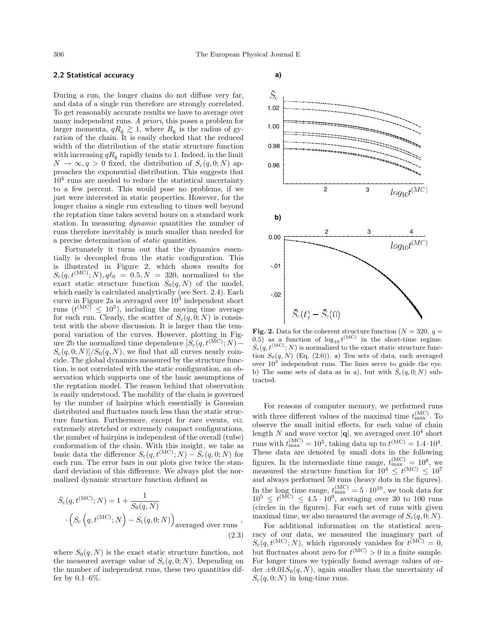### 2.2 Statistical accuracy

During a run, the longer chains do not diffuse very far, and data of a single run therefore are strongly correlated. To get reasonably accurate results we have to average over many independent runs. A priori, this poses a problem for larger momenta,  $qR_g \gtrsim 1$ , where  $R_g$  is the radius of gyration of the chain. It is easily checked that the reduced width of the distribution of the static structure function with increasing  $qR<sub>g</sub>$  rapidly tends to 1. Indeed, in the limit  $N \to \infty, q > 0$  fixed, the distribution of  $S_c(q, 0; N)$  approaches the exponential distribution. This suggests that  $10<sup>4</sup>$  runs are needed to reduce the statistical uncertainty to a few percent. This would pose no problems, if we just were interested in static properties. However, for the longer chains a single run extending to times well beyond the reptation time takes several hours on a standard work station. In measuring dynamic quantities the number of runs therefore inevitably is much smaller than needed for a precise determination of static quantities.

Fortunately it turns out that the dynamics essentially is decoupled from the static configuration. This is illustrated in Figure 2, which shows results for  $S_c(q, t^{(\text{MC})}; N), q\ell_0 = 0.5, N = 320, \text{ normalized to the}$ exact static structure function  $S_0(q, N)$  of the model, which easily is calculated analytically (see Sect. 2.4). Each curve in Figure 2a is averaged over  $10^3$  independent short runs  $(t^{\text{(MC)}} \leq 10^5)$ , including the moving time average for each run. Clearly, the scatter of  $S_c(q, 0; N)$  is consistent with the above discussion. It is larger than the temporal variation of the curves. However, plotting in Figure 2b the normalized time dependence  $[S_c(q, t^{\text{(MC)}}; N) S_c(q, 0; N)/S_0(q, N)$ , we find that all curves nearly coincide. The global dynamics measured by the structure function, is not correlated with the static configuration, an observation which supports one of the basic assumptions of the reptation model. The reason behind that observation is easily understood. The mobility of the chain is governed by the number of hairpins which essentially is Gaussian distributed and fluctuates much less than the static structure function. Furthermore, except for rare events, *viz.* extremely stretched or extremely compact configurations, the number of hairpins is independent of the overall (tube) conformation of the chain. With this insight, we take as basic data the difference  $S_c(q, t^{(\text{MC})}; N) - S_c(q, 0; N)$  for each run. The error bars in our plots give twice the standard deviation of this difference. We always plot the normalized dynamic structure function defined as

$$
\bar{S}_{c}(q, t^{(\text{MC})}; N) = 1 + \frac{1}{S_{0}(q, N)}
$$

$$
\left(S_{c}(q, t^{(\text{MC})}; N) - S_{c}(q, 0; N)\right)
$$
averaged over runs (2.3)

where  $S_0(q, N)$  is the exact static structure function, not the measured average value of  $S_c(q, 0; N)$ . Depending on the number of independent runs, these two quantities differ by  $0.1-6\%$ .





**Fig. 2.** Data for the coherent structure function ( $N = 320$ ,  $q =$ 0.5) as a function of  $log_{10} t^{\text{(MC)}}$  in the short-time regime.  $\bar{S}_{c}(q, t^{(\text{MC})}; N)$  is normalized to the exact static structure function  $S_0(q, N)$  (Eq. (2.6)). a) Ten sets of data, each averaged over  $10^3$  independent runs. The lines serve to guide the eye. b) The same sets of data as in a), but with  $\bar{S}_c(q, 0; N)$  subtracted.

For reasons of computer memory, we performed runs with three different values of the maximal time  $t_{\text{max}}^{(\text{MC})}$ . To observe the small initial effects, for each value of chain length N and wave vector  $|\mathbf{q}|$ , we averaged over  $10^4$  short runs with  $t_{\text{max}}^{(\text{MC})} = 10^5$ , taking data up to  $t^{(\text{MC})} = 1.4 \cdot 10^4$ . These data are denoted by small dots in the following figures. In the intermediate time range,  $t_{\text{max}}^{(\text{MC})} = 10^8$ , we measured the structure function for  $10^4 \le t^{\text{(MC)}} \le 10^7$ and always performed 50 runs (heavy dots in the figures). In the long time range,  $t_{\text{max}}^{(\text{MC})} = 5 \cdot 10^{10}$ , we took data for  $10^5 \le t^{\text{(MC)}} \le 4.5 \cdot 10^9$ , averaging over 30 to 100 runs (circles in the figures). For each set of runs with given maximal time, we also measured the average of  $S_c(q, 0; N)$ .

For additional information on the statistical accuracy of our data, we measured the imaginary part of  $S_c(q, t^{(\text{MC})}; N)$ , which rigorously vanishes for  $t^{(\text{MC})} = 0$ , but fluctuates about zero for  $t^{(\text{MC})} > 0$  in a finite sample. For longer times we typically found average values of order  $\pm 0.01S_0(q, N)$ , again smaller than the uncertainty of  $S_c(q, 0; N)$  in long-time runs.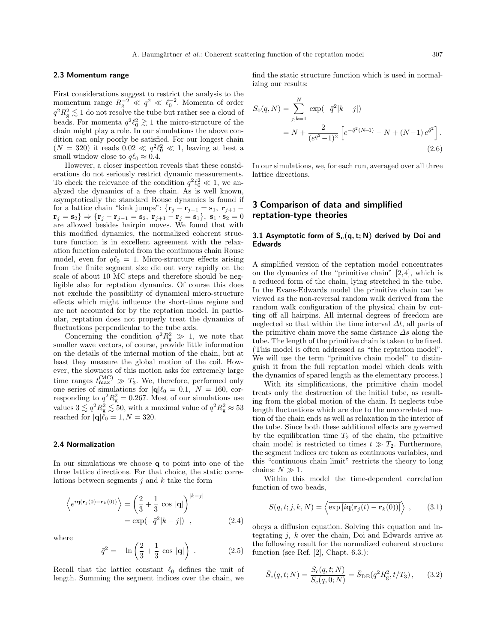#### 2.3 Momentum range

First considerations suggest to restrict the analysis to the momentum range  $R_g^{-2} \ll q^2 \ll \ell_0^{-2}$ . Momenta of order  $q^2 R_{\rm g}^2 \lesssim 1$  do not resolve the tube but rather see a cloud of beads. For momenta  $q^2 \ell_0^2 \gtrsim 1$  the micro-structure of the chain might play a role. In our simulations the above condition can only poorly be satisfied. For our longest chain  $(N = 320)$  it reads  $0.02 \ll q^2 \ell_0^2 \ll 1$ , leaving at best a small window close to  $q\ell_0 \approx 0.4$ .

However, a closer inspection reveals that these considerations do not seriously restrict dynamic measurements. To check the relevance of the condition  $q^2 \ell_0^2 \ll 1$ , we analyzed the dynamics of a free chain. As is well known, asymptotically the standard Rouse dynamics is found if for a lattice chain "kink jumps": { $\mathbf{r}_j - \mathbf{r}_{j-1} = \mathbf{s}_1, \mathbf{r}_{j+1}$  $\mathbf{r}_j = \mathbf{s}_2$   $\} \Rightarrow {\mathbf{r}_j - \mathbf{r}_{j-1} = \mathbf{s}_2, \mathbf{r}_{j+1} - \mathbf{r}_j = \mathbf{s}_1}, \mathbf{s}_1 \cdot \mathbf{s}_2 = 0$  are allowed besides hairpin moves. We found that with this modified dynamics, the normalized coherent structure function is in excellent agreement with the relaxation function calculated from the continuous chain Rouse model, even for  $q\ell_0 = 1$ . Micro-structure effects arising from the finite segment size die out very rapidly on the scale of about 10 MC steps and therefore should be negligible also for reptation dynamics. Of course this does not exclude the possibility of dynamical micro-structure effects which might influence the short-time regime and are not accounted for by the reptation model. In particular, reptation does not properly treat the dynamics of fluctuations perpendicular to the tube axis.

Concerning the condition  $q^2 R_g^2 \gg 1$ , we note that smaller wave vectors, of course, provide little information on the details of the internal motion of the chain, but at least they measure the global motion of the coil. However, the slowness of this motion asks for extremely large time ranges  $t_{\text{max}}^{(\text{MC})} \gg T_3$ . We, therefore, performed only one series of simulations for  $|\mathbf{q}|\ell_0 = 0.1$ ,  $N = 160$ , corresponding to  $q^2 R_g^2 = 0.267$ . Most of our simulations use values  $3 \lesssim q^2 R_g^2 \lesssim 50$ , with a maximal value of  $q^2 R_g^2 \approx 53$ reached for  $|{\bf q}|\ell_0 = 1, N = 320$ .

#### 2.4 Normalization

In our simulations we choose q to point into one of the three lattice directions. For that choice, the static correlations between segments  $j$  and  $k$  take the form

$$
\left\langle e^{i\mathbf{q}(\mathbf{r}_j(0)-\mathbf{r}_k(0))} \right\rangle = \left(\frac{2}{3} + \frac{1}{3} \cos |\mathbf{q}| \right)^{|k-j|}
$$

$$
= \exp(-\bar{q}^2 |k-j|) , \qquad (2.4)
$$

where

$$
\bar{q}^2 = -\ln\left(\frac{2}{3} + \frac{1}{3}\cos|\mathbf{q}| \right) . \tag{2.5}
$$

Recall that the lattice constant  $\ell_0$  defines the unit of length. Summing the segment indices over the chain, we

find the static structure function which is used in normalizing our results:

$$
S_0(q, N) = \sum_{j,k=1}^{N} \exp(-\bar{q}^2 |k-j|)
$$
  
=  $N + \frac{2}{(e^{\bar{q}^2} - 1)^2} \left[ e^{-\bar{q}^2 (N-1)} - N + (N-1) e^{\bar{q}^2} \right].$  (2.6)

In our simulations, we, for each run, averaged over all three lattice directions.

# 3 Comparison of data and simplified reptation-type theories

#### 3.1 Asymptotic form of  $S_c(q, t; N)$  derived by Doi and Edwards

A simplified version of the reptation model concentrates on the dynamics of the "primitive chain" [2,4], which is a reduced form of the chain, lying stretched in the tube. In the Evans-Edwards model the primitive chain can be viewed as the non-reversal random walk derived from the random walk configuration of the physical chain by cutting off all hairpins. All internal degrees of freedom are neglected so that within the time interval  $\Delta t$ , all parts of the primitive chain move the same distance  $\Delta s$  along the tube. The length of the primitive chain is taken to be fixed. (This model is often addressed as "the reptation model". We will use the term "primitive chain model" to distinguish it from the full reptation model which deals with the dynamics of spared length as the elementary process.)

With its simplifications, the primitive chain model treats only the destruction of the initial tube, as resulting from the global motion of the chain. It neglects tube length fluctuations which are due to the uncorrelated motion of the chain ends as well as relaxation in the interior of the tube. Since both these additional effects are governed by the equilibration time  $T_2$  of the chain, the primitive chain model is restricted to times  $t \gg T_2$ . Furthermore, the segment indices are taken as continuous variables, and this "continuous chain limit" restricts the theory to long chains:  $N \gg 1$ .

Within this model the time-dependent correlation function of two beads,

$$
S(q, t; j, k, N) = \left\langle \overline{\exp[i\mathbf{q}(\mathbf{r}_j(t) - \mathbf{r}_k(0))]}\right\rangle , \qquad (3.1)
$$

obeys a diffusion equation. Solving this equation and integrating  $j$ ,  $k$  over the chain, Doi and Edwards arrive at the following result for the normalized coherent structure function (see Ref. [2], Chapt. 6.3.):

$$
\bar{S}_{\rm c}(q, t; N) = \frac{S_{\rm c}(q, t; N)}{S_{\rm c}(q, 0; N)} = \bar{S}_{\rm DE}(q^2 R_{\rm g}^2, t/T_3), \qquad (3.2)
$$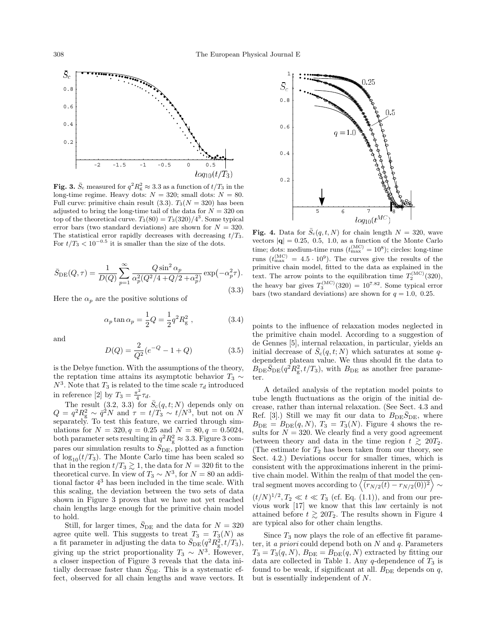

**Fig. 3.**  $\bar{S}_c$  measured for  $q^2 R_g^2 \approx 3.3$  as a function of  $t/T_3$  in the long-time regime. Heavy dots:  $N = 320$ ; small dots:  $N = 80$ . Full curve: primitive chain result (3.3).  $T_3(N = 320)$  has been adjusted to bring the long-time tail of the data for  $N = 320$  on top of the theoretical curve.  $T_3(80) = T_3(320)/4^3$ . Some typical error bars (two standard deviations) are shown for  $N = 320$ . The statistical error rapidly decreases with decreasing  $t/T_3$ .<br>For  $t/T_3 < 10^{-0.5}$  it is smaller than the size of the dots.

$$
\bar{S}_{\rm DE}(Q,\tau) = \frac{1}{D(Q)} \sum_{p=1}^{\infty} \frac{Q \sin^2 \alpha_p}{\alpha_p^2 (Q^2/4 + Q/2 + \alpha_p^2)} \exp(-\alpha_p^2 \tau). \tag{3.3}
$$

Here the  $\alpha_p$  are the positive solutions of

$$
\alpha_p \tan \alpha_p = \frac{1}{2} Q = \frac{1}{2} q^2 R_g^2
$$
, (3.4)

and

$$
D(Q) = \frac{2}{Q^2}(e^{-Q} - 1 + Q)
$$
 (3.5)

is the Debye function. With the assumptions of the theory, the reptation time attains its asymptotic behavior  $T_3 \sim$  $N^3$ . Note that  $T_3$  is related to the time scale  $\tau_d$  introduced in reference [2] by  $T_3 = \frac{\pi^2}{4}$  $rac{1}{4}$  $\tau_d$ .

The result  $(3.2, 3.3)$  for  $\bar{S}_c(q,t;N)$  depends only on  $Q = q^2 R_g^2 \sim \bar{q}^2 N$  and  $\tau = t/T_3 \sim t/N^3$ , but not on N separately. To test this feature, we carried through simulations for  $N = 320, q = 0.25$  and  $N = 80, q = 0.5024$ , both parameter sets resulting in  $q^2 R_{\rm g}^2 \approx 3.3$ . Figure 3 compares our simulation results to  $\bar{S}_{\text{DE}}$ , plotted as a function of  $\log_{10}(t/T_3)$ . The Monte Carlo time has been scaled so that in the region  $t/T_3 \gtrsim 1$ , the data for  $N = 320$  fit to the theoretical curve. In view of  $T_3 \sim N^3$ , for  $N = 80$  an additional factor 4 <sup>3</sup> has been included in the time scale. With this scaling, the deviation between the two sets of data shown in Figure 3 proves that we have not yet reached chain lengths large enough for the primitive chain model to hold.

Still, for larger times,  $\bar{S}_{\text{DE}}$  and the data for  $N = 320$ agree quite well. This suggests to treat  $T_3 = T_3(N)$  as a fit parameter in adjusting the data to  $\bar{S}_{\text{DE}}(q^2 R_g^2, t/T_3)$ , giving up the strict proportionality  $T_3 \sim N^3$ . However, a closer inspection of Figure 3 reveals that the data initially decrease faster than  $\bar{S}_{\text{DE}}$ . This is a systematic effect, observed for all chain lengths and wave vectors. It



Fig. 4. Data for  $\bar{S}_c(q,t,N)$  for chain length  $N = 320$ , wave vectors  $|\mathbf{q}| = 0.25, 0.5, 1.0,$  as a function of the Monte Carlo time; dots: medium-time runs  $(t_{\text{max}}^{\text{(MC)}} = 10^8)$ ; circles: long-time runs  $(t_{\text{max}}^{(\text{MC})} = 4.5 \cdot 10^9)$ . The curves give the results of the primitive chain model, fitted to the data as explained in the text. The arrow points to the equilibration time  $T_2^{(\text{MC})}(320)$ , the heavy bar gives  $T_3^{\text{(MC)}}(320) = 10^{7.82}$ . Some typical error bars (two standard deviations) are shown for  $q = 1.0, 0.25$ .

points to the influence of relaxation modes neglected in the primitive chain model. According to a suggestion of de Gennes [5], internal relaxation, in particular, yields an initial decrease of  $\bar{S}_c(q,t;N)$  which saturates at some qdependent plateau value. We thus should fit the data to  $B_{\text{DE}}\bar{S}_{\text{DE}}(q^2R_g^2, t/T_3)$ , with  $B_{\text{DE}}$  as another free parameter.

A detailed analysis of the reptation model points to tube length fluctuations as the origin of the initial decrease, rather than internal relaxation. (See Sect. 4.3 and Ref. [3].) Still we may fit our data to  $B_{\text{DE}}\overline{S}_{\text{DE}}$ , where  $B_{\text{DE}} = B_{\text{DE}}(q, N), T_3 = T_3(N).$  Figure 4 shows the results for  $N = 320$ . We clearly find a very good agreement between theory and data in the time region  $t \geq 20T_2$ . (The estimate for  $T_2$  has been taken from our theory, see Sect. 4.2.) Deviations occur for smaller times, which is consistent with the approximations inherent in the primitive chain model. Within the realm of that model the central segment moves according to  $\left\langle \overline{(r_{N/2}(t)-r_{N/2}(0))^2}\right\rangle \sim$  $(t/N)^{1/2}, T_2 \ll t \ll T_3$  (cf. Eq. (1.1)), and from our previous work [17] we know that this law certainly is not attained before  $t \geq 20T_2$ . The results shown in Figure 4 are typical also for other chain lengths.

Since  $T_3$  now plays the role of an effective fit parameter, it a priori could depend both on  $N$  and  $q$ . Parameters  $T_3 = T_3(q, N), B_{\text{DE}} = B_{\text{DE}}(q, N)$  extracted by fitting our data are collected in Table 1. Any  $q$ -dependence of  $T_3$  is found to be weak, if significant at all.  $B_{DE}$  depends on  $q$ , but is essentially independent of N.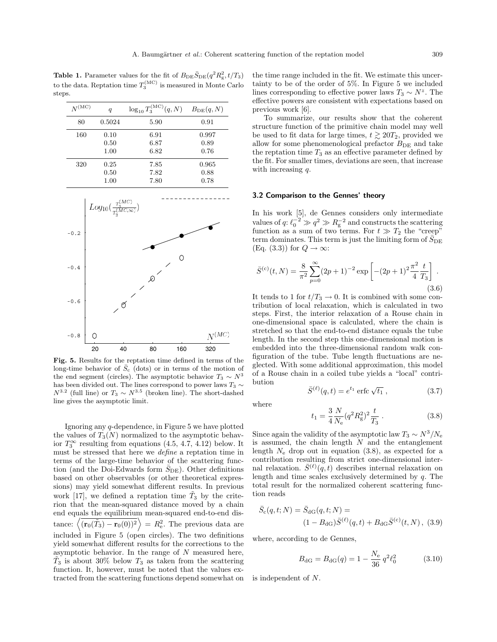**Table 1.** Parameter values for the fit of  $B_{\text{DE}}\bar{S}_{\text{DE}}(q^2R_g^2, t/T_3)$ to the data. Reptation time  $T_3^{(\text{MC})}$  is measured in Monte Carlo steps.

| $N^{(\mathrm{MC})}$ | $\boldsymbol{q}$ | $\log_{10} T_3^{\rm (MC)}(q,N)$ | $B_{\text{DE}}(q, N)$ |
|---------------------|------------------|---------------------------------|-----------------------|
| 80                  | 0.5024           | 5.90                            | 0.91                  |
| 160                 | 0.10             | 6.91                            | 0.997                 |
|                     | 0.50             | 6.87                            | 0.89                  |
|                     | 1.00             | 6.82                            | 0.76                  |
| 320                 | 0.25             | 7.85                            | 0.965                 |
|                     | 0.50             | 7.82                            | 0.88                  |
|                     | 1.00             | 7.80                            | 0.78                  |



Fig. 5. Results for the reptation time defined in terms of the long-time behavior of  $\bar{S}_c$  (dots) or in terms of the motion of the end segment (circles). The asymptotic behavior  $T_3 \sim N^3$ has been divided out. The lines correspond to power laws  $T_3 \sim$  $N^{3.2}$  (full line) or  $T_3 \sim N^{3.5}$  (broken line). The short-dashed line gives the asymptotic limit.

Ignoring any q-dependence, in Figure 5 we have plotted the values of  $T_3(N)$  normalized to the asymptotic behavior  $T_3^{\infty}$  resulting from equations (4.5, 4.7, 4.12) below. It must be stressed that here we define a reptation time in terms of the large-time behavior of the scattering function (and the Doi-Edwards form  $\bar{S}_{\text{DE}}$ ). Other definitions based on other observables (or other theoretical expressions) may yield somewhat different results. In previous work [17], we defined a reptation time  $\tilde{T}_3$  by the criterion that the mean-squared distance moved by a chain end equals the equilibrium mean-squared end-to-end distance:  $\langle (\mathbf{r}_0(\tilde{T}_3) - \mathbf{r}_0(0))^2 \rangle = R_e^2$ . The previous data are included in Figure 5 (open circles). The two definitions yield somewhat different results for the corrections to the asymptotic behavior. In the range of  $N$  measured here,  $\tilde{T}_3$  is about 30% below  $T_3$  as taken from the scattering function. It, however, must be noted that the values extracted from the scattering functions depend somewhat on the time range included in the fit. We estimate this uncertainty to be of the order of 5%. In Figure 5 we included lines corresponding to effective power laws  $T_3 \sim N^z$ . The effective powers are consistent with expectations based on previous work [6].

To summarize, our results show that the coherent structure function of the primitive chain model may well be used to fit data for large times,  $t \gtrsim 20T_2$ , provided we allow for some phenomenological prefactor  $B_{DE}$  and take the reptation time  $T_3$  as an effective parameter defined by the fit. For smaller times, deviations are seen, that increase with increasing q.

#### 3.2 Comparison to the Gennes' theory

In his work [5], de Gennes considers only intermediate values of  $q: \ell_0^{-2} \gg q^2 \gg R_g^{-2}$  and constructs the scattering function as a sum of two terms. For  $t \gg T_2$  the "creep" term dominates. This term is just the limiting form of  $\bar{S}_{\text{DE}}$ (Eq. (3.3)) for  $Q \to \infty$ :

$$
\bar{S}^{(c)}(t,N) = \frac{8}{\pi^2} \sum_{p=0}^{\infty} (2p+1)^{-2} \exp\left[ -(2p+1)^2 \frac{\pi^2}{4} \frac{t}{T_3} \right].
$$
\n(3.6)

It tends to 1 for  $t/T_3 \rightarrow 0$ . It is combined with some contribution of local relaxation, which is calculated in two steps. First, the interior relaxation of a Rouse chain in one-dimensional space is calculated, where the chain is stretched so that the end-to-end distance equals the tube length. In the second step this one-dimensional motion is embedded into the three-dimensional random walk configuration of the tube. Tube length fluctuations are neglected. With some additional approximation, this model of a Rouse chain in a coiled tube yields a "local" contribution

$$
\bar{S}^{(\ell)}(q,t) = e^{t_1} \operatorname{erfc} \sqrt{t_1} , \qquad (3.7)
$$

where

$$
t_1 = \frac{3}{4} \frac{N}{N_e} (q^2 R_g^2)^2 \frac{t}{T_3} . \tag{3.8}
$$

Since again the validity of the asymptotic law  $T_3 \sim N^3/N_e$ is assumed, the chain length  $N$  and the entanglement length  $N_e$  drop out in equation (3.8), as expected for a contribution resulting from strict one-dimensional internal relaxation.  $\bar{S}^{(\ell)}(\vec{q},t)$  describes internal relaxation on length and time scales exclusively determined by  $q$ . The total result for the normalized coherent scattering function reads

$$
\bar{S}_{c}(q,t;N) = \bar{S}_{dG}(q,t;N) =
$$
  

$$
(1 - B_{dG})\bar{S}^{(\ell)}(q,t) + B_{dG}\bar{S}^{(c)}(t,N),
$$
 (3.9)

where, according to de Gennes,

$$
B_{\rm dG} = B_{\rm dG}(q) = 1 - \frac{N_{\rm e}}{36} q^2 \ell_0^2 \tag{3.10}
$$

is independent of N.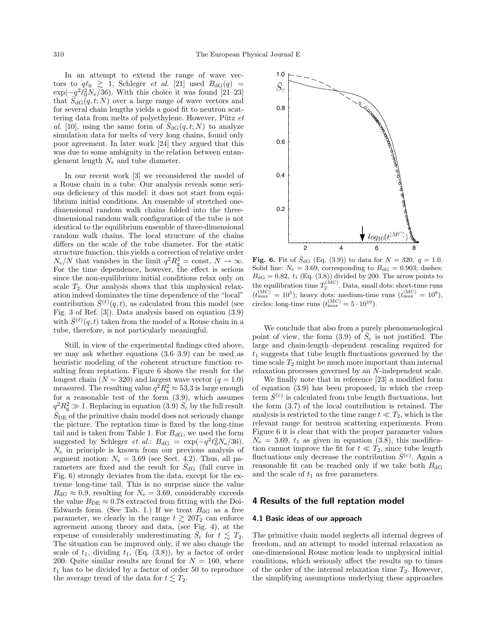In an attempt to extend the range of wave vectors to  $q\ell_0 \geq 1$ , Schleger *et al.* [21] used  $B_{\text{dG}}(q)$  =  $\exp(-q^2\ell_0^2N_e/36)$ . With this choice it was found [21–23] that  $\overline{S}_{\text{dG}}(q,t;N)$  over a large range of wave vectors and for several chain lengths yields a good fit to neutron scattering data from melts of polyethylene. However, Pütz  $et$ al. [10], using the same form of  $\bar{S}_{\text{dG}}(q, t; N)$  to analyze simulation data for melts of very long chains, found only poor agreement. In later work [24] they argued that this was due to some ambiguity in the relation between entanglement length  $N_e$  and tube diameter.

In our recent work [3] we reconsidered the model of a Rouse chain in a tube. Our analysis reveals some serious deficiency of this model: it does not start from equilibrium initial conditions. An ensemble of stretched onedimensional random walk chains folded into the threedimensional random walk configuration of the tube is not identical to the equilibrium ensemble of three-dimensional random walk chains. The local structure of the chains differs on the scale of the tube diameter. For the static structure function, this yields a correction of relative order  $N_e/N$  that vanishes in the limit  $q^2 R_{\rm g}^2 = \text{const}, N \to \infty.$ For the time dependence, however, the effect is serious since the non-equilibrium initial conditions relax only on scale  $T_2$ . Our analysis shows that this unphysical relaxation indeed dominates the time dependence of the "local" contribution  $\bar{S}^{(\ell)}(q,t)$ , as calculated from this model (see Fig. 3 of Ref. [3]). Data analysis based on equation (3.9) with  $\bar{S}^{(\ell)}(q,t)$  taken from the model of a Rouse chain in a tube, therefore, is not particularly meaningful.

Still, in view of the experimental findings cited above. we may ask whether equations (3.6–3.9) can be used as heuristic modeling of the coherent structure function resulting from reptation. Figure 6 shows the result for the longest chain  $(N = 320)$  and largest wave vector  $(q = 1.0)$ measured. The resulting value  $q^2 R_g^2 \approx 53.3$  is large enough for a reasonable test of the form (3.9), which assumes  $q^2 R_g^2 \gg 1$ . Replacing in equation (3.9)  $\bar{S}_c$  by the full result  $\bar{S}_{\text{DE}}$  of the primitive chain model does not seriously change the picture. The reptation time is fixed by the long-time tail and is taken from Table 1. For  $B_{\text{dG}}$ , we used the form suggested by Schleger *et al.*:  $B_{\text{dG}} = \exp(-q^2 \ell_0^2 N_e / 36)$ .  $N_e$  in principle is known from our previous analysis of segment motion:  $N_e = 3.69$  (see Sect. 4.2). Thus, all parameters are fixed and the result for  $\bar{S}_{\text{dG}}$  (full curve in Fig. 6) strongly deviates from the data, except for the extreme long-time tail. This is no surprise since the value  $B_{\text{dG}} \approx 0.9$ , resulting for  $N_e = 3.69$ , considerably exceeds the value  $B_{\text{DE}} \approx 0.78$  extracted from fitting with the Doi-Edwards form. (See Tab. 1.) If we treat  $B_{\text{dG}}$  as a free parameter, we clearly in the range  $t \gtrsim 20T_2$  can enforce agreement among theory and data, (see Fig. 4), at the expense of considerably underestimating  $\bar{S}_{\rm c}$  for  $t \le T_2$ . The situation can be improved only, if we also change the scale of  $t_1$ , dividing  $t_1$ , (Eq. (3.8)), by a factor of order 200. Quite similar results are found for  $N = 160$ , where  $t_1$  has to be divided by a factor of order 50 to reproduce the average trend of the data for  $t \lesssim T_2$ .



**Fig. 6.** Fit of  $\bar{S}_{\text{dG}}$  (Eq. (3.9)) to data for  $N = 320, q = 1.0$ . Solid line:  $N_e = 3.69$ , corresponding to  $B_{\text{dG}} = 0.903$ ; dashes:  $B_{\text{dG}} = 0.82, t_1$  (Eq. (3.8)) divided by 200. The arrow points to the equilibration time  $T_2^{(\mathrm{MC})}$ . Data, small dots: short-time runs  $(t_{\text{max}}^{(\text{MC})} = 10^5)$ ; heavy dots: medium-time runs  $(t_{\text{max}}^{(\text{MC})} = 10^8)$ , circles: long-time runs  $(t_{\text{max}}^{(\text{MC})} = 5 \cdot 10^{10}).$ 

We conclude that also from a purely phenomenological point of view, the form  $(3.9)$  of  $\overline{S}_c$  is not justified. The large and chain-length–dependent rescaling required for  $t_1$  suggests that tube length fluctuations governed by the time scale  $T_2$  might be much more important than internal relaxation processes governed by an N-independent scale.

We finally note that in reference [23] a modified form of equation (3.9) has been proposed, in which the creep term  $\bar{S}^{(c)}$  is calculated from tube length fluctuations, but the form (3.7) of the local contribution is retained. The analysis is restricted to the time range  $t \ll T_2$ , which is the relevant range for neutron scattering experiments. From Figure 6 it is clear that with the proper parameter values  $N_e = 3.69$ ,  $t_1$  as given in equation (3.8), this modification cannot improve the fit for  $t \ll T_2$ , since tube length fluctuations only decrease the contribution  $\bar{S}^{(c)}$ . Again a reasonable fit can be reached only if we take both  $B_{\text{dG}}$ and the scale of  $t_1$  as free parameters.

### 4 Results of the full reptation model

#### 4.1 Basic ideas of our approach

The primitive chain model neglects all internal degrees of freedom, and an attempt to model internal relaxation as one-dimensional Rouse motion leads to unphysical initial conditions, which seriously affect the results up to times of the order of the internal relaxation time  $T_2$ . However, the simplifying assumptions underlying these approaches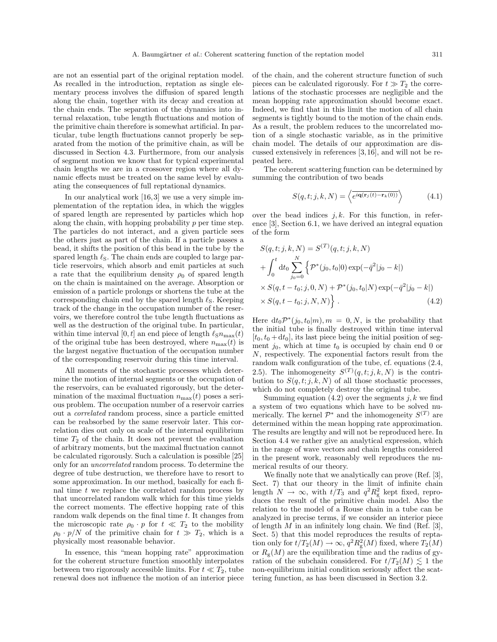are not an essential part of the original reptation model. As recalled in the introduction, reptation as single elementary process involves the diffusion of spared length along the chain, together with its decay and creation at the chain ends. The separation of the dynamics into internal relaxation, tube length fluctuations and motion of the primitive chain therefore is somewhat artificial. In particular, tube length fluctuations cannot properly be separated from the motion of the primitive chain, as will be discussed in Section 4.3. Furthermore, from our analysis of segment motion we know that for typical experimental chain lengths we are in a crossover region where all dynamic effects must be treated on the same level by evaluating the consequences of full reptational dynamics.

In our analytical work [16,3] we use a very simple implementation of the reptation idea, in which the wiggles of spared length are represented by particles which hop along the chain, with hopping probability  $p$  per time step. The particles do not interact, and a given particle sees the others just as part of the chain. If a particle passes a bead, it shifts the position of this bead in the tube by the spared length  $\ell_{\rm S}$ . The chain ends are coupled to large particle reservoirs, which absorb and emit particles at such a rate that the equilibrium density  $\rho_0$  of spared length on the chain is maintained on the average. Absorption or emission of a particle prolongs or shortens the tube at the corresponding chain end by the spared length  $\ell_{\rm S}$ . Keeping track of the change in the occupation number of the reservoirs, we therefore control the tube length fluctuations as well as the destruction of the original tube. In particular, within time interval [0, t] an end piece of length  $\ell_{\text{S}}n_{\text{max}}(t)$ of the original tube has been destroyed, where  $n_{\text{max}}(t)$  is the largest negative fluctuation of the occupation number of the corresponding reservoir during this time interval.

All moments of the stochastic processes which determine the motion of internal segments or the occupation of the reservoirs, can be evaluated rigorously, but the determination of the maximal fluctuation  $n_{\text{max}}(t)$  poses a serious problem. The occupation number of a reservoir carries out a correlated random process, since a particle emitted can be reabsorbed by the same reservoir later. This correlation dies out only on scale of the internal equilibrium time  $T_2$  of the chain. It does not prevent the evaluation of arbitrary moments, but the maximal fluctuation cannot be calculated rigorously. Such a calculation is possible [25] only for an uncorrelated random process. To determine the degree of tube destruction, we therefore have to resort to some approximation. In our method, basically for each final time  $t$  we replace the correlated random process by that uncorrelated random walk which for this time yields the correct moments. The effective hopping rate of this random walk depends on the final time t. It changes from the microscopic rate  $\rho_0 \cdot p$  for  $t \ll T_2$  to the mobility  $\rho_0 \cdot p/N$  of the primitive chain for  $t \gg T_2$ , which is a physically most reasonable behavior.

In essence, this "mean hopping rate" approximation for the coherent structure function smoothly interpolates between two rigorously accessible limits. For  $t \ll T_2$ , tube renewal does not influence the motion of an interior piece

of the chain, and the coherent structure function of such pieces can be calculated rigorously. For  $t \gg T_2$  the correlations of the stochastic processes are negligible and the mean hopping rate approximation should become exact. Indeed, we find that in this limit the motion of all chain segments is tightly bound to the motion of the chain ends. As a result, the problem reduces to the uncorrelated motion of a single stochastic variable, as in the primitive chain model. The details of our approximation are discussed extensively in references [3,16], and will not be repeated here.

The coherent scattering function can be determined by summing the contribution of two beads

$$
S(q, t; j, k, N) = \left\langle \overline{e^{i\mathbf{q}(\mathbf{r}_j(t) - \mathbf{r}_k(0))}} \right\rangle \tag{4.1}
$$

over the bead indices  $j, k$ . For this function, in reference [3], Section 6.1, we have derived an integral equation of the form

$$
S(q, t; j, k, N) = S^{(T)}(q, t; j, k, N)
$$
  
+ 
$$
\int_0^t dt_0 \sum_{j_0=0}^N \left\{ \mathcal{P}^*(j_0, t_0|0) \exp(-\bar{q}^2 | j_0 - k|) \times S(q, t - t_0; j, 0, N) + \mathcal{P}^*(j_0, t_0|N) \exp(-\bar{q}^2 | j_0 - k|) \times S(q, t - t_0; j, N, N) \right\}.
$$
 (4.2)

Here  $dt_0 \mathcal{P}^*(j_0, t_0|m)$ ,  $m = 0, N$ , is the probability that the initial tube is finally destroyed within time interval  $[t_0, t_0 + dt_0]$ , its last piece being the initial position of segment  $j_0$ , which at time  $t_0$  is occupied by chain end 0 or N, respectively. The exponential factors result from the random walk configuration of the tube, cf. equations (2.4, 2.5). The inhomogeneity  $S^{(T)}(q,t;j,k,N)$  is the contribution to  $S(q, t; j, k, N)$  of all those stochastic processes, which do not completely destroy the original tube.

Summing equation  $(4.2)$  over the segments j, k we find a system of two equations which have to be solved numerically. The kernel  $\mathcal{P}^*$  and the inhomogeneity  $S^{(T)}$  are determined within the mean hopping rate approximation. The results are lengthy and will not be reproduced here. In Section 4.4 we rather give an analytical expression, which in the range of wave vectors and chain lengths considered in the present work, reasonably well reproduces the numerical results of our theory.

We finally note that we analytically can prove (Ref. [3], Sect. 7) that our theory in the limit of infinite chain length  $N \to \infty$ , with  $t/T_3$  and  $q^2 R_g^2$  kept fixed, reproduces the result of the primitive chain model. Also the relation to the model of a Rouse chain in a tube can be analyzed in precise terms, if we consider an interior piece of length  $M$  in an infinitely long chain. We find (Ref. [3], Sect. 5) that this model reproduces the results of reptation only for  $t/T_2(M) \to \infty$ ,  $q^2 R_g^2(M)$  fixed, where  $T_2(M)$ or  $R_{\rm g}(M)$  are the equilibration time and the radius of gyration of the subchain considered. For  $t/T_2(M) \lesssim 1$  the non-equilibrium initial condition seriously affect the scattering function, as has been discussed in Section 3.2.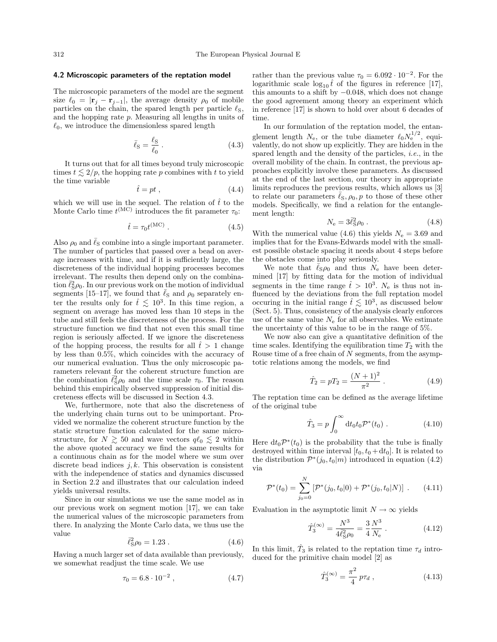#### 4.2 Microscopic parameters of the reptation model

The microscopic parameters of the model are the segment size  $\ell_0 = |\mathbf{r}_j - \mathbf{r}_{j-1}|$ , the average density  $\rho_0$  of mobile particles on the chain, the spared length per particle  $\ell_{\rm S}$ , and the hopping rate p. Measuring all lengths in units of  $\ell_0$ , we introduce the dimensionless spared length

$$
\bar{\ell}_{\rm S} = \frac{\ell_{\rm S}}{\ell_0} \ . \tag{4.3}
$$

It turns out that for all times beyond truly microscopic times  $t \lesssim 2/p$ , the hopping rate p combines with t to yield the time variable

$$
\hat{t} = pt \t{,} \t(4.4)
$$

which we will use in the sequel. The relation of  $\hat{t}$  to the Monte Carlo time  $t^{\text{(MC)}}$  introduces the fit parameter  $\tau_0$ :

$$
\hat{t} = \tau_0 t^{\text{(MC)}} \,. \tag{4.5}
$$

Also  $\rho_0$  and  $\bar{\ell}_S$  combine into a single important parameter. The number of particles that passed over a bead on average increases with time, and if it is sufficiently large, the discreteness of the individual hopping processes becomes irrelevant. The results then depend only on the combination  $\bar{\ell}_S^2 \rho_0$ . In our previous work on the motion of individual segments [15–17], we found that  $\bar{\ell}_S$  and  $\rho_0$  separately enter the results only for  $\hat{t} \leq 10^3$ . In this time region, a segment on average has moved less than 10 steps in the tube and still feels the discreteness of the process. For the structure function we find that not even this small time region is seriously affected. If we ignore the discreteness of the hopping process, the results for all  $\ell > 1$  change by less than 0.5%, which coincides with the accuracy of our numerical evaluation. Thus the only microscopic parameters relevant for the coherent structure function are the combination  $\vec{\ell}_{\rm S}^2 \rho_0$  and the time scale  $\tau_0$ . The reason behind this empirically observed suppression of initial discreteness effects will be discussed in Section 4.3.

We, furthermore, note that also the discreteness of the underlying chain turns out to be unimportant. Provided we normalize the coherent structure function by the static structure function calculated for the same microstructure, for  $N \gtrsim 50$  and wave vectors  $q\ell_0 \lesssim 2$  within the above quoted accuracy we find the same results for a continuous chain as for the model where we sum over discrete bead indices  $j, k$ . This observation is consistent with the independence of statics and dynamics discussed in Section 2.2 and illustrates that our calculation indeed yields universal results.

Since in our simulations we use the same model as in our previous work on segment motion [17], we can take the numerical values of the microscopic parameters from there. In analyzing the Monte Carlo data, we thus use the value

$$
\bar{\ell}_{\rm S}^2 \rho_0 = 1.23 \,. \tag{4.6}
$$

Having a much larger set of data available than previously, we somewhat readjust the time scale. We use

$$
\tau_0 = 6.8 \cdot 10^{-2} , \qquad (4.7)
$$

rather than the previous value  $\tau_0 = 6.092 \cdot 10^{-2}$ . For the logarithmic scale  $\log_{10} \hat{t}$  of the figures in reference [17], this amounts to a shift by  $-0.048$ , which does not change the good agreement among theory an experiment which in reference [17] is shown to hold over about 6 decades of time.

In our formulation of the reptation model, the entanglement length  $N_{\rm e}$ , or the tube diameter  $\ell_0 N_{\rm e}^{1/2}$ , equivalently, do not showup explicitly. They are hidden in the spared length and the density of the particles, i.e., in the overall mobility of the chain. In contrast, the previous approaches explicitly involve these parameters. As discussed at the end of the last section, our theory in appropriate limits reproduces the previous results, which allows us [3] to relate our parameters  $\bar{\ell}_\text{S}, \rho_0, p$  to those of these other models. Specifically, we find a relation for the entanglement length:

$$
N_e = 3\bar{\ell}_S^2 \rho_0 \tag{4.8}
$$

With the numerical value (4.6) this yields  $N_e = 3.69$  and implies that for the Evans-Edwards model with the smallest possible obstacle spacing it needs about 4 steps before the obstacles come into play seriously.

We note that  $\bar{\ell}_s \rho_0$  and thus  $N_e$  have been determined [17] by fitting data for the motion of individual segments in the time range  $\hat{t} > 10^3$ .  $N_e$  is thus not influenced by the deviations from the full reptation model occuring in the initial range  $\hat{t} \lesssim 10^3$ , as discussed below (Sect. 5). Thus, consistency of the analysis clearly enforces use of the same value  $N_{\rm e}$  for all observables. We estimate the uncertainty of this value to be in the range of 5%.

We nowalso can give a quantitative definition of the time scales. Identifying the equilibration time  $T_2$  with the Rouse time of a free chain of  $N$  segments, from the asymptotic relations among the models, we find

$$
\hat{T}_2 = pT_2 = \frac{(N+1)^2}{\pi^2} \,. \tag{4.9}
$$

The reptation time can be defined as the average lifetime of the original tube

$$
\hat{T}_3 = p \int_0^\infty dt_0 t_0 \mathcal{P}^*(t_0) . \tag{4.10}
$$

Here  $dt_0 \mathcal{P}^*(t_0)$  is the probability that the tube is finally destroyed within time interval  $[t_0, t_0 + dt_0]$ . It is related to the distribution  $\mathcal{P}^*(j_0, t_0|m)$  introduced in equation (4.2) via

$$
\mathcal{P}^*(t_0) = \sum_{j_0=0}^N \left[ \mathcal{P}^*(j_0, t_0 | 0) + \mathcal{P}^*(j_0, t_0 | N) \right] . \tag{4.11}
$$

Evaluation in the asymptotic limit  $N \to \infty$  yields

$$
\hat{T}_3^{(\infty)} = \frac{N^3}{4\ell_{\rm S}^2 \rho_0} = \frac{3}{4} \frac{N^3}{N_{\rm e}} \,. \tag{4.12}
$$

In this limit,  $\hat{T}_3$  is related to the reptation time  $\tau_d$  introduced for the primitive chain model [2] as

$$
\hat{T}_3^{(\infty)} = \frac{\pi^2}{4} p \tau_d , \qquad (4.13)
$$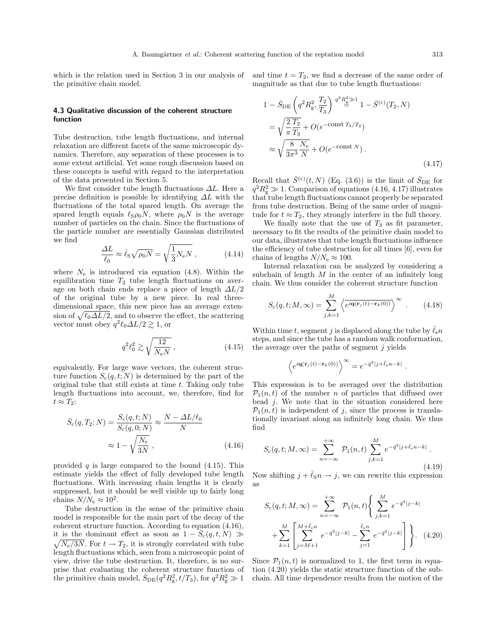which is the relation used in Section 3 in our analysis of the primitive chain model.

#### 4.3 Qualitative discussion of the coherent structure function

Tube destruction, tube length fluctuations, and internal relaxation are different facets of the same microscopic dynamics. Therefore, any separation of these processes is to some extent artificial. Yet some rough discussion based on these concepts is useful with regard to the interpretation of the data presented in Section 5.

We first consider tube length fluctuations  $\Delta L$ . Here a precise definition is possible by identifying  $\Delta L$  with the fluctuations of the total spared length. On average the spared length equals  $\ell_S \rho_0 N$ , where  $\rho_0 N$  is the average number of particles on the chain. Since the fluctuations of the particle number are essentially Gaussian distributed we find

$$
\frac{\Delta L}{\ell_0} \approx \bar{\ell}_{\rm S} \sqrt{\rho_0 N} = \sqrt{\frac{1}{3} N_{\rm e} N} \,, \tag{4.14}
$$

where  $N_e$  is introduced via equation (4.8). Within the equilibration time  $T_2$  tube length fluctuations on average on both chain ends replace a piece of length  $\Delta L/2$ of the original tube by a new piece. In real threedimensional space, this new piece has an average extension of  $\sqrt{\ell_0 \Delta L/2}$ , and to observe the effect, the scattering vector must obey  $q^2 \ell_0 \Delta L/2 \gtrsim 1$ , or

$$
q^2 \ell_0^2 \gtrsim \sqrt{\frac{12}{N_{\rm e}N}}\,,\tag{4.15}
$$

equivalently. For large wave vectors, the coherent structure function  $S_c(q,t;N)$  is determined by the part of the original tube that still exists at time t. Taking only tube length fluctuations into account, we, therefore, find for  $t \approx T_2$ :

$$
\bar{S}_{\rm c}(q, T_2; N) = \frac{S_{\rm c}(q, t; N)}{S_{\rm c}(q, 0; N)} \approx \frac{N - \Delta L/\ell_0}{N}
$$

$$
\approx 1 - \sqrt{\frac{N_{\rm e}}{3N}},
$$
(4.16)

provided q is large compared to the bound  $(4.15)$ . This estimate yields the effect of fully developed tube length fluctuations. With increasing chain lengths it is clearly suppressed, but it should be well visible up to fairly long chains  $N/N_e \approx 10^2$ .

Tube destruction in the sense of the primitive chain model is responsible for the main part of the decay of the coherent structure function. According to equation (4.16), it is the dominant effect as soon as  $1 - S_c(q,t,N) \gg$  $\sqrt{N_e/3N}$ . For  $t \to T_2$ , it is strongly correlated with tube length fluctuations which, seen from a microscopic point of view, drive the tube destruction. It, therefore, is no surprise that evaluating the coherent structure function of the primitive chain model,  $\bar{S}_{DE}(q^2 R_{\rm g}^2, t/T_3)$ , for  $q^2 R_{\rm g}^2 \gg 1$ 

and time  $t = T_2$ , we find a decrease of the same order of magnitude as that due to tube length fluctuations:

$$
1 - \bar{S}_{DE} \left( q^2 R_g^2, \frac{T_2}{T_3} \right) \stackrel{q^2 R_g^2 \gg 1}{=} 1 - \bar{S}^{(c)}(T_2, N)
$$
  
\n
$$
= \sqrt{\frac{2 T_2}{\pi T_3}} + O(e^{-\text{const } T_3/T_2})
$$
  
\n
$$
\approx \sqrt{\frac{8}{3\pi^3} \frac{N_e}{N}} + O(e^{-\text{const } N}).
$$
\n(4.17)

Recall that  $\bar{S}^{(c)}(t, N)$  (Eq. (3.6)) is the limit of  $\bar{S}_{\text{DE}}$  for  $q^2 R_{\rm g}^2 \gg 1$ . Comparison of equations (4.16, 4.17) illustrates that tube length fluctuations cannot properly be separated from tube destruction. Being of the same order of magnitude for  $t \approx T_2$ , they strongly interfere in the full theory.

We finally note that the use of  $T_3$  as fit parameter, necessary to fit the results of the primitive chain model to our data, illustrates that tube length fluctuations influence the efficiency of tube destruction for all times [6], even for chains of lengths  $N/N_e \approx 100$ .

Internal relaxation can be analyzed by considering a subchain of length  $M$  in the center of an infinitely long chain. We thus consider the coherent structure function

$$
S_{\rm c}(q, t; M, \infty) = \sum_{j,k=1}^{M} \left\langle \overline{e^{i\mathbf{q}(\mathbf{r}_j(t) - \mathbf{r}_k(0))}} \right\rangle^{\infty} . \tag{4.18}
$$

Within time t, segment j is displaced along the tube by  $\bar{\ell}_s n$ steps, and since the tube has a random walk conformation, the average over the paths of segment  $j$  yields

$$
\left\langle e^{i\mathbf{q}(\mathbf{r}_j(t)-\mathbf{r}_k(0))} \right\rangle^\infty = e^{-\bar{q}^2|j+\bar{\ell}_\mathrm{s}n-k|}
$$

.

This expression is to be averaged over the distribution  $\mathcal{P}_1(n,t)$  of the number n of particles that diffused over bead  $j$ . We note that in the situation considered here  $\mathcal{P}_1(n,t)$  is independent of j, since the process is translationally invariant along an infinitely long chain. We thus find

$$
S_{\rm c}(q, t; M, \infty) = \sum_{n = -\infty}^{+\infty} \mathcal{P}_1(n, t) \sum_{j, k=1}^{M} e^{-\bar{q}^2 |j + \bar{\ell}_s n - k|}.
$$
\n(4.19)

Now shifting  $j + \bar{\ell}_S n \rightarrow j$ , we can rewrite this expression as

$$
S_{c}(q, t; M, \infty) = \sum_{n=-\infty}^{+\infty} \mathcal{P}_{1}(n, t) \left\{ \sum_{j,k=1}^{M} e^{-\bar{q}^{2} |j-k|} + \sum_{k=1}^{M} \left[ \sum_{j=M+1}^{M+\bar{\ell}_{s}n} e^{-\bar{q}^{2} |j-k|} - \sum_{j=1}^{\bar{\ell}_{s}n} e^{-\bar{q}^{2} |j-k|} \right] \right\}.
$$
 (4.20)

Since  $\mathcal{P}_1(n,t)$  is normalized to 1, the first term in equation (4.20) yields the static structure function of the subchain. All time dependence results from the motion of the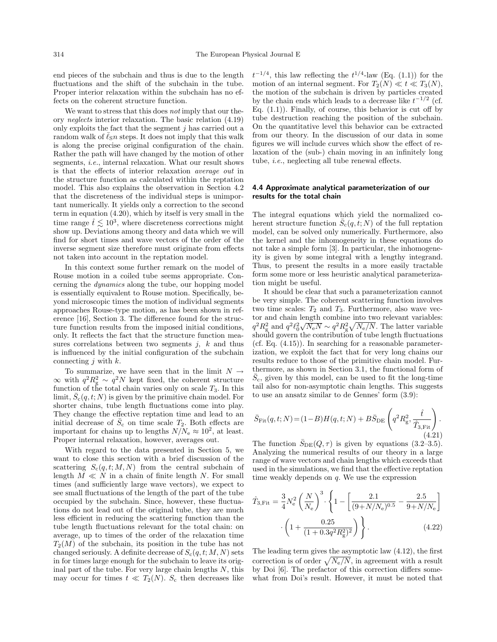end pieces of the subchain and thus is due to the length fluctuations and the shift of the subchain in the tube. Proper interior relaxation within the subchain has no effects on the coherent structure function.

We want to stress that this does not imply that our theory neglects interior relaxation. The basic relation (4.19) only exploits the fact that the segment  $j$  has carried out a random walk of  $\ell_{\rm S}n$  steps. It does not imply that this walk is along the precise original configuration of the chain. Rather the path will have changed by the motion of other segments, *i.e.*, internal relaxation. What our result shows is that the effects of interior relaxation average out in the structure function as calculated within the reptation model. This also explains the observation in Section 4.2 that the discreteness of the individual steps is unimportant numerically. It yields only a correction to the second term in equation (4.20), which by itself is very small in the time range  $\hat{t} \lesssim 10^3$ , where discreteness corrections might show up. Deviations among theory and data which we will find for short times and wave vectors of the order of the inverse segment size therefore must originate from effects not taken into account in the reptation model.

In this context some further remark on the model of Rouse motion in a coiled tube seems appropriate. Concerning the dynamics along the tube, our hopping model is essentially equivalent to Rouse motion. Specifically, beyond microscopic times the motion of individual segments approaches Rouse-type motion, as has been shown in reference [16], Section 3. The difference found for the structure function results from the imposed initial conditions, only. It reflects the fact that the structure function measures correlations between two segments  $j, k$  and thus is influenced by the initial configuration of the subchain connecting  $j$  with  $k$ .

To summarize, we have seen that in the limit  $N \rightarrow$  $\infty$  with  $q^2 R_g^2 \sim q^2 N$  kept fixed, the coherent structure function of the total chain varies only on scale  $T_3$ . In this limit,  $\bar{S}_c(q,t;N)$  is given by the primitive chain model. For shorter chains, tube length fluctuations come into play. They change the effective reptation time and lead to an initial decrease of  $\bar{S}_c$  on time scale  $T_2$ . Both effects are important for chains up to lengths  $N/N_e \approx 10^2$ , at least. Proper internal relaxation, however, averages out.

With regard to the data presented in Section 5, we want to close this section with a brief discussion of the scattering  $S_c(q,t;M,N)$  from the central subchain of length  $M \ll N$  in a chain of finite length N. For small times (and sufficiently large wave vectors), we expect to see small fluctuations of the length of the part of the tube occupied by the subchain. Since, however, these fluctuations do not lead out of the original tube, they are much less efficient in reducing the scattering function than the tube length fluctuations relevant for the total chain: on average, up to times of the order of the relaxation time  $T_2(M)$  of the subchain, its position in the tube has not changed seriously. A definite decrease of  $S_c(q, t; M, N)$  sets in for times large enough for the subchain to leave its original part of the tube. For very large chain lengths  $N$ , this may occur for times  $t \ll T_2(N)$ . S<sub>c</sub> then decreases like

 $t^{-1/4}$ , this law reflecting the  $t^{1/4}$ -law (Eq. (1.1)) for the motion of an internal segment. For  $T_2(N) \ll t \ll T_3(N)$ , the motion of the subchain is driven by particles created by the chain ends which leads to a decrease like  $t^{-1/2}$  (cf. Eq.  $(1.1)$ ). Finally, of course, this behavior is cut off by tube destruction reaching the position of the subchain. On the quantitative level this behavior can be extracted from our theory. In the discussion of our data in some figures we will include curves which show the effect of relaxation of the (sub-) chain moving in an infinitely long tube, i.e., neglecting all tube renewal effects.

#### 4.4 Approximate analytical parameterization of our results for the total chain

The integral equations which yield the normalized coherent structure function  $\bar{S}_c(q,t;N)$  of the full reptation model, can be solved only numerically. Furthermore, also the kernel and the inhomogeneity in these equations do not take a simple form [3]. In particular, the inhomogeneity is given by some integral with a lengthy integrand. Thus, to present the results in a more easily tractable form some more or less heuristic analytical parameterization might be useful.

It should be clear that such a parameterization cannot be very simple. The coherent scattering function involves two time scales:  $T_2$  and  $T_3$ . Furthermore, also wave vector and chain length combine into two relevant variables:  $q^2 R_{\rm g}^2$  and  $q^2 \ell_0^2 \sqrt{N_{\rm e}N} \sim q^2 R_{\rm g}^2 \sqrt{N_{\rm e}/N}$ . The latter variable should govern the contribution of tube length fluctuations (cf. Eq. (4.15)). In searching for a reasonable parameterization, we exploit the fact that for very long chains our results reduce to those of the primitive chain model. Furthermore, as shown in Section 3.1, the functional form of  $\bar{S}_{c}$ , given by this model, can be used to fit the long-time tail also for non-asymptotic chain lengths. This suggests to use an ansatz similar to de Gennes' form (3.9):

$$
\bar{S}_{\text{Fit}}(q, t; N) = (1 - B)H(q, t; N) + B\bar{S}_{\text{DE}}\left(q^2 R_g^2, \frac{\hat{t}}{\hat{T}_{3, \text{Fit}}}\right). \tag{4.21}
$$

The function  $\bar{S}_{\text{DE}}(Q, \tau)$  is given by equations (3.2–3.5). Analyzing the numerical results of our theory in a large range of wave vectors and chain lengths which exceeds that used in the simulations, we find that the effective reptation time weakly depends on  $q$ . We use the expression

$$
\hat{T}_{3,\text{Fit}} = \frac{3}{4} N_{\text{e}}^2 \left( \frac{N}{N_{\text{e}}} \right)^3 \cdot \left\{ 1 - \left[ \frac{2.1}{(9 + N/N_{\text{e}})^{0.5}} - \frac{2.5}{9 + N/N_{\text{e}}} \right] \right. \left. \cdot \left( 1 + \frac{0.25}{(1 + 0.3q^2 R_{\text{g}}^2)^2} \right) \right\}.
$$
\n(4.22)

The leading term gives the asymptotic law(4.12), the first correction is of order  $\sqrt{N_e/N}$ , in agreement with a result by Doi [6]. The prefactor of this correction differs somewhat from Doi's result. However, it must be noted that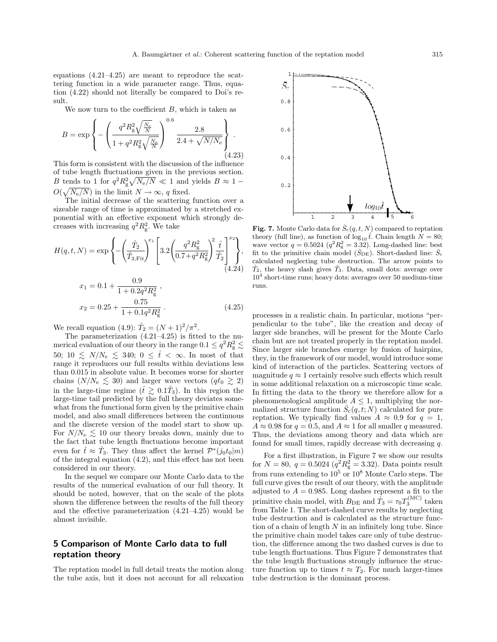equations (4.21–4.25) are meant to reproduce the scattering function in a wide parameter range. Thus, equation (4.22) should not literally be compared to Doi's result.

We now turn to the coefficient  $B$ , which is taken as

$$
B = \exp\left\{-\left(\frac{q^2 R_g^2 \sqrt{\frac{N_e}{N}}}{1 + q^2 R_g^2 \sqrt{\frac{N_e}{N}}}\right)^{0.6} \frac{2.8}{2.4 + \sqrt{N/N_e}}\right\}.
$$
\n(4.23)

This form is consistent with the discussion of the influence of tube length fluctuations given in the previous section. B tends to 1 for  $q^2 R_g^2 \sqrt{N_e/N} \ll 1$  and yields  $B \approx 1 O(\sqrt{N_{\rm e}/N})$  in the limit  $N \to \infty$ , q fixed.<br>The initial decrease of the scattering function over a

sizeable range of time is approximated by a stretched exponential with an effective exponent which strongly decreases with increasing  $q^2 R_g^2$ . We take

$$
H(q, t, N) = \exp\left\{-\left(\frac{\hat{T}_2}{\hat{T}_{3, \text{Fit}}}\right)^{x_1} \left[3.2\left(\frac{q^2 R_{\text{g}}^2}{0.7 + q^2 R_{\text{g}}^2}\right)^2 \frac{\hat{t}}{\hat{T}_2}\right]_{(4.24)}^{x_2}\right\},\tag{4.24}
$$

$$
x_1 = 0.1 + \frac{0.9}{1 + 0.2q^2 R_g^2},
$$
  
\n
$$
x_2 = 0.25 + \frac{0.75}{1 + 0.1q^2 R_g^2}.
$$
\n(4.25)

We recall equation (4.9):  $\hat{T}_2 = (N+1)^2/\pi^2$ .

The parameterization  $(4.21-4.25)$  is fitted to the numerical evaluation of our theory in the range  $0.1 \le q^2 R_g^2 \lesssim$ 50;  $10 \leq N/N_e \leq 340$ ;  $0 \leq \hat{t} < \infty$ . In most of that range it reproduces our full results within deviations less than 0.015 in absolute value. It becomes worse for shorter chains  $(N/N_e \leq 30)$  and larger wave vectors  $(q\ell_0 \geq 2)$ in the large-time regime  $(\hat{t} \geq 0.1\hat{T}_3)$ . In this region the large-time tail predicted by the full theory deviates somewhat from the functional form given by the primitive chain model, and also small differences between the continuous and the discrete version of the model start to showup. For  $N/N_e \lesssim 10$  our theory breaks down, mainly due to the fact that tube length fluctuations become important even for  $\hat{t} \approx \hat{T}_3$ . They thus affect the kernel  $\mathcal{P}^*(j_0 t_0|m)$ of the integral equation (4.2), and this effect has not been considered in our theory.

In the sequel we compare our Monte Carlo data to the results of the numerical evaluation of our full theory. It should be noted, however, that on the scale of the plots shown the difference between the results of the full theory and the effective parameterization (4.21–4.25) would be almost invisible.

# 5 Comparison of Monte Carlo data to full reptation theory

The reptation model in full detail treats the motion along the tube axis, but it does not account for all relaxation



Fig. 7. Monte Carlo data for  $\bar{S}_c(q,t,N)$  compared to reptation theory (full line), as function of  $\log_{10} \hat{t}$ . Chain length  $N = 80$ ; wave vector  $q = 0.5024$  ( $q^2 R_{\rm g}^2 = 3.32$ ). Long-dashed line: best fit to the primitive chain model ( $\bar{S}_{\text{DE}}$ ). Short-dashed line:  $\bar{S}_{\text{c}}$ calculated neglecting tube destruction. The arrow points to  $T_2$ , the heavy slash gives  $T_3$ . Data, small dots: average over  $10<sup>4</sup>$  short-time runs; heavy dots: averages over 50 medium-time runs.

processes in a realistic chain. In particular, motions "perpendicular to the tube", like the creation and decay of larger side branches, will be present for the Monte Carlo chain but are not treated properly in the reptation model. Since larger side branches emerge by fusion of hairpins, they, in the framework of our model, would introduce some kind of interaction of the particles. Scattering vectors of magnitude  $q \approx 1$  certainly resolve such effects which result in some additional relaxation on a microscopic time scale. In fitting the data to the theory we therefore allow for a phenomenological amplitude  $A \leq 1$ , multiplying the normalized structure function  $\bar{S}_c(q,t;N)$  calculated for pure reptation. We typically find values  $A \approx 0.9$  for  $q = 1$ ,  $A \approx 0.98$  for  $q = 0.5$ , and  $A \approx 1$  for all smaller q measured. Thus, the deviations among theory and data which are found for small times, rapidly decrease with decreasing  $q$ .

For a first illustration, in Figure 7 we show our results for  $N = 80, q = 0.5024 (q^2 R_g^2 = 3.32)$ . Data points result from runs extending to  $10^5$  or  $10^8$  Monte Carlo steps. The full curve gives the result of our theory, with the amplitude adjusted to  $A = 0.985$ . Long dashes represent a fit to the primitive chain model, with  $B_{\text{DE}}$  and  $\hat{T}_3 = \tau_0 T_3^{\text{(MC)}}$  taken from Table 1. The short-dashed curve results by neglecting tube destruction and is calculated as the structure function of a chain of length  $N$  in an infinitely long tube. Since the primitive chain model takes care only of tube destruction, the difference among the two dashed curves is due to tube length fluctuations. Thus Figure 7 demonstrates that the tube length fluctuations strongly influence the structure function up to times  $t \approx T_2$ . For much larger-times tube destruction is the dominant process.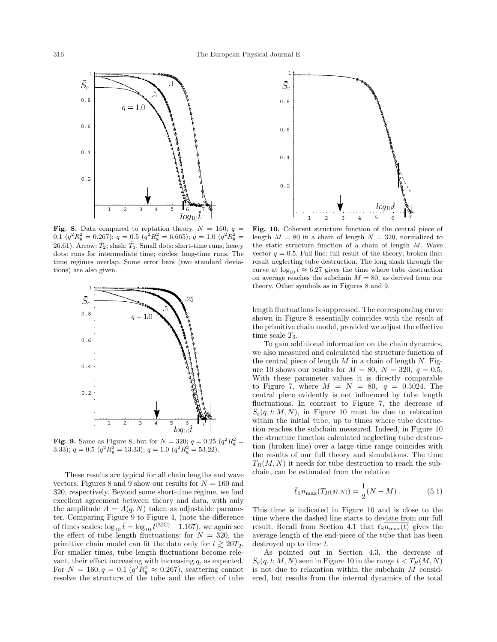

Fig. 8. Data compared to reptation theory.  $N = 160; q =$ 0.1  $(q^2 R_{\rm g}^2 = 0.267); q = 0.5 (q^2 R_{\rm g}^2 = 6.665); q = 1.0 (q^2 R_{\rm g}^2 =$ 26.61). Arrow:  $\hat{T}_2$ ; slash:  $\hat{T}_3$ . Small dots: short-time runs; heavy dots: runs for intermediate time; circles: long-time runs. The time regimes overlap. Some error bars (two standard deviations) are also given.



**Fig. 9.** Same as Figure 8, but for  $N = 320$ ;  $q = 0.25$   $(q^2 R_g^2 =$ 3.33);  $q = 0.5$   $(q^2 R_g^2 = 13.33)$ ;  $q = 1.0$   $(q^2 R_g^2 = 53.22)$ .

These results are typical for all chain lengths and wave vectors. Figures 8 and 9 show our results for  $N = 160$  and 320, respectively. Beyond some short-time regime, we find excellent agreement between theory and data, with only the amplitude  $A = A(q, N)$  taken as adjustable parameter. Comparing Figure 9 to Figure 4, (note the difference of times scales:  $\log_{10} t = \log_{10} t^{(\text{MC})} - 1.167$ , we again see the effect of tube length fluctuations: for  $N = 320$ , the primitive chain model can fit the data only for  $t \gtrsim 20T_2$ . For smaller times, tube length fluctuations become relevant, their effect increasing with increasing  $q$ , as expected. For  $N = 160, q = 0.1 (q^2 R_g^2 \approx 0.267)$ , scattering cannot resolve the structure of the tube and the effect of tube



Fig. 10. Coherent structure function of the central piece of length  $M = 80$  in a chain of length  $N = 320$ , normalized to the static structure function of a chain of length  $M$ . Wave vector  $q = 0.5$ . Full line: full result of the theory; broken line: result neglecting tube destruction. The long slash through the curve at  $\log_{10} \hat{t} \approx 6.27$  gives the time where tube destruction on average reaches the subchain  $M = 80$ , as derived from our theory. Other symbols as in Figures 8 and 9.

length fluctuations is suppressed. The corresponding curve shown in Figure 8 essentially coincides with the result of the primitive chain model, provided we adjust the effective time scale  $T_3$ .

To gain additional information on the chain dynamics, we also measured and calculated the structure function of the central piece of length  $M$  in a chain of length  $N$ . Figure 10 shows our results for  $M = 80$ ,  $N = 320$ ,  $q = 0.5$ . With these parameter values it is directly comparable to Figure 7, where  $M = N = 80$ ,  $q = 0.5024$ . The central piece evidently is not influenced by tube length fluctuations. In contrast to Figure 7, the decrease of  $\bar{S}_c(q,t;M,N)$ , in Figure 10 must be due to relaxation within the initial tube, up to times where tube destruction reaches the subchain measured. Indeed, in Figure 10 the structure function calculated neglecting tube destruction (broken line) over a large time range coincides with the results of our full theory and simulations. The time  $T_R(M, N)$  it needs for tube destruction to reach the subchain, can be estimated from the relation

$$
\bar{\ell}_{\rm S} n_{\rm max}(T_{R(M,N)}) = \frac{1}{2}(N-M) \,. \tag{5.1}
$$

This time is indicated in Figure 10 and is close to the time where the dashed line starts to deviate from our full result. Recall from Section 4.1 that  $\ell_{\text{S}}n_{\text{max}}(t)$  gives the average length of the end-piece of the tube that has been destroyed up to time t.

As pointed out in Section 4.3, the decrease of  $\bar{S}_{\text{c}}(q, t; \dot{M}, N)$  seen in Figure 10 in the range  $t < T_R(M, N)$ is not due to relaxation within the subchain  $M$  considered, but results from the internal dynamics of the total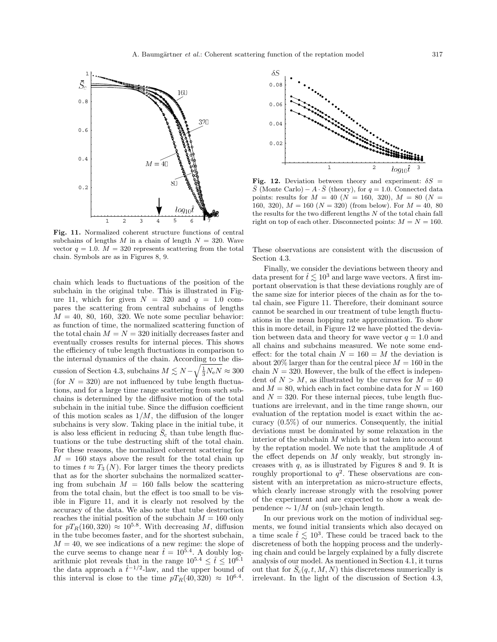

Fig. 11. Normalized coherent structure functions of central subchains of lengths M in a chain of length  $N = 320$ . Wave vector  $q = 1.0$ .  $M = 320$  represents scattering from the total chain. Symbols are as in Figures 8, 9.

chain which leads to fluctuations of the position of the subchain in the original tube. This is illustrated in Figure 11, which for given  $N = 320$  and  $q = 1.0$  compares the scattering from central subchains of lengths  $M = 40, 80, 160, 320$ . We note some peculiar behavior: as function of time, the normalized scattering function of the total chain  $M = N = 320$  initially decreases faster and eventually crosses results for internal pieces. This shows the efficiency of tube length fluctuations in comparison to the internal dynamics of the chain. According to the discussion of Section 4.3, subchains  $M \lesssim N - \sqrt{\frac{1}{3}N_{\rm e}N} \approx 300$ (for  $N = 320$ ) are not influenced by tube length fluctuations, and for a large time range scattering from such subchains is determined by the diffusive motion of the total subchain in the initial tube. Since the diffusion coefficient of this motion scales as  $1/M$ , the diffusion of the longer subchains is very slow. Taking place in the initial tube, it is also less efficient in reducing  $\bar{S}_c$  than tube length fluctuations or the tube destructing shift of the total chain. For these reasons, the normalized coherent scattering for  $M = 160$  stays above the result for the total chain up to times  $t \approx T_3(N)$ . For larger times the theory predicts that as for the shorter subchains the normalized scattering from subchain  $M = 160$  falls below the scattering from the total chain, but the effect is too small to be visible in Figure 11, and it is clearly not resolved by the accuracy of the data. We also note that tube destruction reaches the initial position of the subchain  $M = 160$  only for  $pT_R(160, 320) \approx 10^{5.8}$ . With decreasing M, diffusion in the tube becomes faster, and for the shortest subchain,  $M = 40$ , we see indications of a new regime: the slope of the curve seems to change near  $\hat{t} = 10^{5.4}$ . A doubly logarithmic plot reveals that in the range  $10^{5.4} \leq \hat{t} \leq 10^{6.1}$ <br>the data approach a  $\hat{t}^{-1/2}$ -law, and the upper bound of this interval is close to the time  $pT_R(40, 320) \approx 10^{6.4}$ .



Fig. 12. Deviation between theory and experiment:  $\delta S$  =  $\overline{S}$  (Monte Carlo) –  $A \cdot \overline{S}$  (theory), for  $q = 1.0$ . Connected data points: results for  $M = 40$  ( $N = 160, 320$ ),  $M = 80$  ( $N =$ 160, 320),  $M = 160$  ( $N = 320$ ) (from below). For  $M = 40$ , 80 the results for the two different lengths  $N$  of the total chain fall right on top of each other. Disconnected points:  $M = N = 160$ .

These observations are consistent with the discussion of Section 4.3.

Finally, we consider the deviations between theory and data present for  $\hat{t} \lesssim 10^3$  and large wave vectors. A first important observation is that these deviations roughly are of the same size for interior pieces of the chain as for the total chain, see Figure 11. Therefore, their dominant source cannot be searched in our treatment of tube length fluctuations in the mean hopping rate approximation. To show this in more detail, in Figure 12 we have plotted the deviation between data and theory for wave vector  $q = 1.0$  and all chains and subchains measured. We note some endeffect: for the total chain  $N = 160 = M$  the deviation is about 20% larger than for the central piece  $M = 160$  in the chain  $N = 320$ . However, the bulk of the effect is independent of  $N > M$ , as illustrated by the curves for  $M = 40$ and  $M = 80$ , which each in fact combine data for  $N = 160$ and  $N = 320$ . For these internal pieces, tube length fluctuations are irrelevant, and in the time range shown, our evaluation of the reptation model is exact within the accuracy (0.5%) of our numerics. Consequently, the initial deviations must be dominated by some relaxation in the interior of the subchain  $M$  which is not taken into account by the reptation model. We note that the amplitude A of the effect depends on  $M$  only weakly, but strongly increases with  $q$ , as is illustrated by Figures 8 and 9. It is roughly proportional to  $q^2$ . These observations are consistent with an interpretation as micro-structure effects, which clearly increase strongly with the resolving power of the experiment and are expected to showa weak dependence  $\sim 1/M$  on (sub-)chain length.

In our previous work on the motion of individual segments, we found initial transients which also decayed on a time scale  $\hat{t} \lesssim 10^3$ . These could be traced back to the discreteness of both the hopping process and the underlying chain and could be largely explained by a fully discrete analysis of our model. As mentioned in Section 4.1, it turns out that for  $\bar{S}_c(q,t,M,N)$  this discreteness numerically is irrelevant. In the light of the discussion of Section 4.3,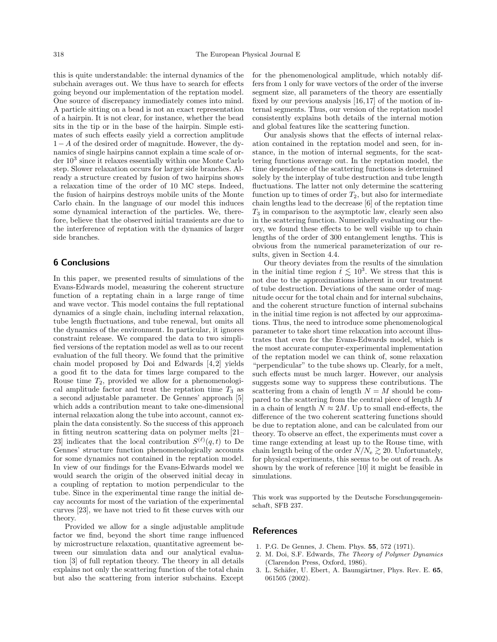this is quite understandable: the internal dynamics of the subchain averages out. We thus have to search for effects going beyond our implementation of the reptation model. One source of discrepancy immediately comes into mind. A particle sitting on a bead is not an exact representation of a hairpin. It is not clear, for instance, whether the bead sits in the tip or in the base of the hairpin. Simple estimates of such effects easily yield a correction amplitude 1−A of the desired order of magnitude. However, the dynamics of single hairpins cannot explain a time scale of order  $10^3$  since it relaxes essentially within one Monte Carlo step. Slower relaxation occurs for larger side branches. Already a structure created by fusion of two hairpins shows a relaxation time of the order of 10 MC steps. Indeed, the fusion of hairpins destroys mobile units of the Monte Carlo chain. In the language of our model this induces some dynamical interaction of the particles. We, therefore, believe that the observed initial transients are due to the interference of reptation with the dynamics of larger side branches.

### 6 Conclusions

In this paper, we presented results of simulations of the Evans-Edwards model, measuring the coherent structure function of a reptating chain in a large range of time and wave vector. This model contains the full reptational dynamics of a single chain, including internal relaxation, tube length fluctuations, and tube renewal, but omits all the dynamics of the environment. In particular, it ignores constraint release. We compared the data to two simplified versions of the reptation model as well as to our recent evaluation of the full theory. We found that the primitive chain model proposed by Doi and Edwards [4,2] yields a good fit to the data for times large compared to the Rouse time  $T_2$ , provided we allow for a phenomenological amplitude factor and treat the reptation time  $T_3$  as a second adjustable parameter. De Gennes' approach [5] which adds a contribution meant to take one-dimensional internal relaxation along the tube into account, cannot explain the data consistently. So the success of this approach in fitting neutron scattering data on polymer melts [21– 23] indicates that the local contribution  $S^{(\ell)}(q,t)$  to De Gennes' structure function phenomenologically accounts for some dynamics not contained in the reptation model. In view of our findings for the Evans-Edwards model we would search the origin of the observed initial decay in a coupling of reptation to motion perpendicular to the tube. Since in the experimental time range the initial decay accounts for most of the variation of the experimental curves [23], we have not tried to fit these curves with our theory.

Provided we allow for a single adjustable amplitude factor we find, beyond the short time range influenced by microstructure relaxation, quantitative agreement between our simulation data and our analytical evaluation [3] of full reptation theory. The theory in all details explains not only the scattering function of the total chain but also the scattering from interior subchains. Except for the phenomenological amplitude, which notably differs from 1 only for wave vectors of the order of the inverse segment size, all parameters of the theory are essentially fixed by our previous analysis [16,17] of the motion of internal segments. Thus, our version of the reptation model consistently explains both details of the internal motion and global features like the scattering function.

Our analysis shows that the effects of internal relaxation contained in the reptation model and seen, for instance, in the motion of internal segments, for the scattering functions average out. In the reptation model, the time dependence of the scattering functions is determined solely by the interplay of tube destruction and tube length fluctuations. The latter not only determine the scattering function up to times of order  $T_2$ , but also for intermediate chain lengths lead to the decrease [6] of the reptation time  $T_3$  in comparison to the asymptotic law, clearly seen also in the scattering function. Numerically evaluating our theory, we found these effects to be well visible up to chain lengths of the order of 300 entanglement lengths. This is obvious from the numerical parameterization of our results, given in Section 4.4.

Our theory deviates from the results of the simulation in the initial time region  $\hat{t} \lesssim 10^3$ . We stress that this is not due to the approximations inherent in our treatment of tube destruction. Deviations of the same order of magnitude occur for the total chain and for internal subchains, and the coherent structure function of internal subchains in the initial time region is not affected by our approximations. Thus, the need to introduce some phenomenological parameter to take short time relaxation into account illustrates that even for the Evans-Edwards model, which is the most accurate computer-experimental implementation of the reptation model we can think of, some relaxation "perpendicular" to the tube shows up. Clearly, for a melt, such effects must be much larger. However, our analysis suggests some way to suppress these contributions. The scattering from a chain of length  $N = M$  should be compared to the scattering from the central piece of length M in a chain of length  $N \approx 2M$ . Up to small end-effects, the difference of the two coherent scattering functions should be due to reptation alone, and can be calculated from our theory. To observe an effect, the experiments must cover a time range extending at least up to the Rouse time, with chain length being of the order  $N/N_e \gtrsim 20$ . Unfortunately, for physical experiments, this seems to be out of reach. As shown by the work of reference [10] it might be feasible in simulations.

This work was supported by the Deutsche Forschungsgemeinschaft, SFB 237.

#### References

- 1. P.G. De Gennes, J. Chem. Phys. 55, 572 (1971).
- 2. M. Doi, S.F. Edwards, The Theory of Polymer Dynamics (Clarendon Press, Oxford, 1986).
- 3. L. Schäfer, U. Ebert, A. Baumgärtner, Phys. Rev. E. 65, 061505 (2002).